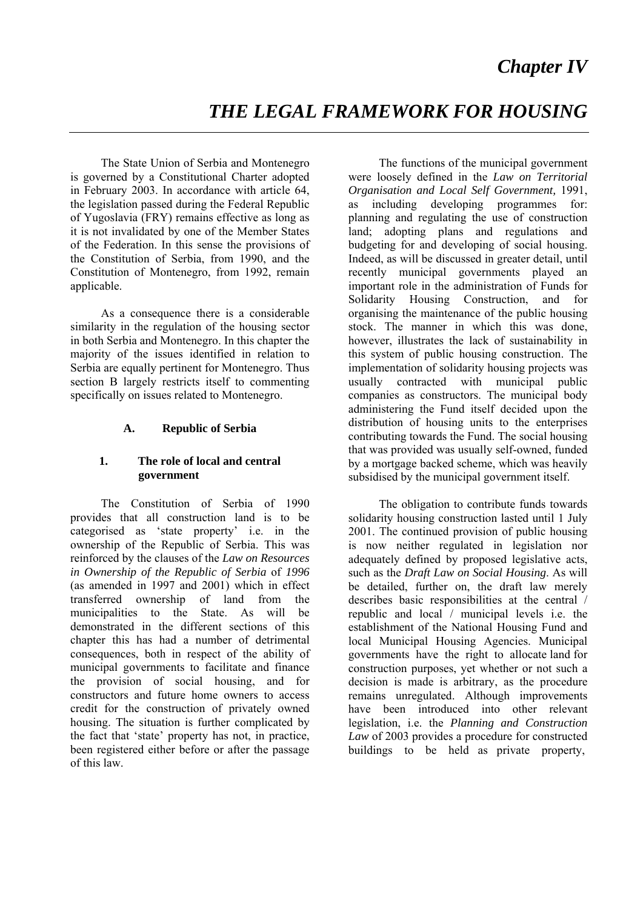# *THE LEGAL FRAMEWORK FOR HOUSING*

 The State Union of Serbia and Montenegro is governed by a Constitutional Charter adopted in February 2003. In accordance with article 64, the legislation passed during the Federal Republic of Yugoslavia (FRY) remains effective as long as it is not invalidated by one of the Member States of the Federation. In this sense the provisions of the Constitution of Serbia, from 1990, and the Constitution of Montenegro, from 1992, remain applicable.

 As a consequence there is a considerable similarity in the regulation of the housing sector in both Serbia and Montenegro. In this chapter the majority of the issues identified in relation to Serbia are equally pertinent for Montenegro. Thus section B largely restricts itself to commenting specifically on issues related to Montenegro.

# **A. Republic of Serbia**

# **1. The role of local and central government**

 The Constitution of Serbia of 1990 provides that all construction land is to be categorised as 'state property' i.e. in the ownership of the Republic of Serbia. This was reinforced by the clauses of the *Law on Resources in Ownership of the Republic of Serbia* of *1996* (as amended in 1997 and 2001) which in effect transferred ownership of land from the municipalities to the State. As will be demonstrated in the different sections of this chapter this has had a number of detrimental consequences, both in respect of the ability of municipal governments to facilitate and finance the provision of social housing, and for constructors and future home owners to access credit for the construction of privately owned housing. The situation is further complicated by the fact that 'state' property has not, in practice, been registered either before or after the passage of this law.

 The functions of the municipal government were loosely defined in the *Law on Territorial Organisation and Local Self Government,* 1991, as including developing programmes for: planning and regulating the use of construction land; adopting plans and regulations and budgeting for and developing of social housing. Indeed, as will be discussed in greater detail, until recently municipal governments played an important role in the administration of Funds for Solidarity Housing Construction, and for organising the maintenance of the public housing stock. The manner in which this was done, however, illustrates the lack of sustainability in this system of public housing construction. The implementation of solidarity housing projects was usually contracted with municipal public companies as constructors. The municipal body administering the Fund itself decided upon the distribution of housing units to the enterprises contributing towards the Fund. The social housing that was provided was usually self-owned, funded by a mortgage backed scheme, which was heavily subsidised by the municipal government itself.

 The obligation to contribute funds towards solidarity housing construction lasted until 1 July 2001. The continued provision of public housing is now neither regulated in legislation nor adequately defined by proposed legislative acts, such as the *Draft Law on Social Housing*. As will be detailed, further on, the draft law merely describes basic responsibilities at the central / republic and local / municipal levels i.e. the establishment of the National Housing Fund and local Municipal Housing Agencies. Municipal governments have the right to allocate land for construction purposes, yet whether or not such a decision is made is arbitrary, as the procedure remains unregulated. Although improvements have been introduced into other relevant legislation, i.e. the *Planning and Construction Law* of 2003 provides a procedure for constructed buildings to be held as private property,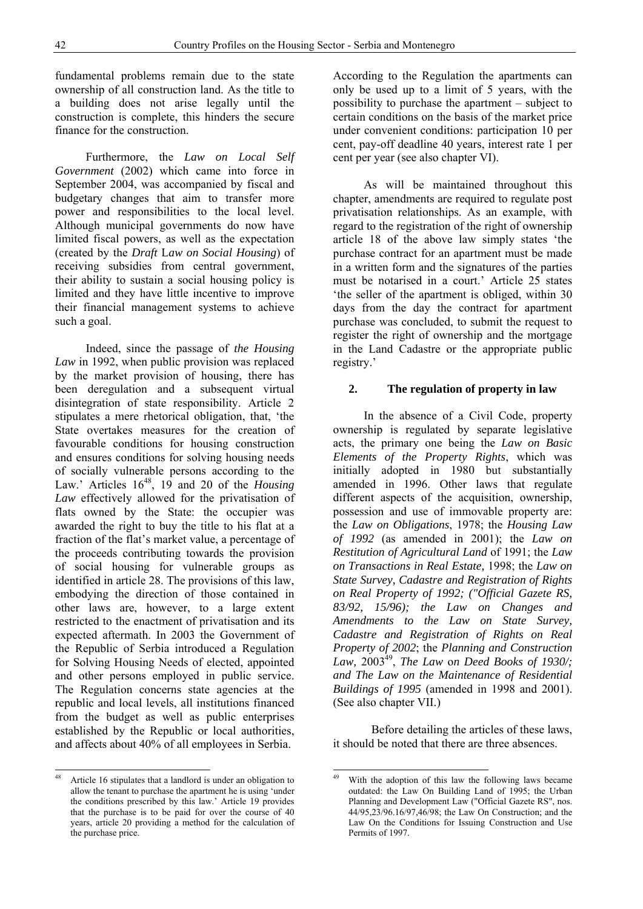fundamental problems remain due to the state ownership of all construction land. As the title to a building does not arise legally until the construction is complete, this hinders the secure finance for the construction.

 Furthermore, the *Law on Local Self Government* (2002) which came into force in September 2004, was accompanied by fiscal and budgetary changes that aim to transfer more power and responsibilities to the local level. Although municipal governments do now have limited fiscal powers, as well as the expectation (created by the *Draft* L*aw on Social Housing*) of receiving subsidies from central government, their ability to sustain a social housing policy is limited and they have little incentive to improve their financial management systems to achieve such a goal.

 Indeed, since the passage of *the Housing Law* in 1992, when public provision was replaced by the market provision of housing, there has been deregulation and a subsequent virtual disintegration of state responsibility. Article 2 stipulates a mere rhetorical obligation, that, 'the State overtakes measures for the creation of favourable conditions for housing construction and ensures conditions for solving housing needs of socially vulnerable persons according to the Law.' Articles 16<sup>48</sup>, 19 and 20 of the *Housing Law* effectively allowed for the privatisation of flats owned by the State: the occupier was awarded the right to buy the title to his flat at a fraction of the flat's market value, a percentage of the proceeds contributing towards the provision of social housing for vulnerable groups as identified in article 28. The provisions of this law, embodying the direction of those contained in other laws are, however, to a large extent restricted to the enactment of privatisation and its expected aftermath. In 2003 the Government of the Republic of Serbia introduced a Regulation for Solving Housing Needs of elected, appointed and other persons employed in public service. The Regulation concerns state agencies at the republic and local levels, all institutions financed from the budget as well as public enterprises established by the Republic or local authorities, and affects about 40% of all employees in Serbia.

 $48$ Article 16 stipulates that a landlord is under an obligation to allow the tenant to purchase the apartment he is using 'under the conditions prescribed by this law.' Article 19 provides that the purchase is to be paid for over the course of 40 years, article 20 providing a method for the calculation of the purchase price.

According to the Regulation the apartments can only be used up to a limit of 5 years, with the possibility to purchase the apartment – subject to certain conditions on the basis of the market price under convenient conditions: participation 10 per cent, pay-off deadline 40 years, interest rate 1 per cent per year (see also chapter VI).

 As will be maintained throughout this chapter, amendments are required to regulate post privatisation relationships. As an example, with regard to the registration of the right of ownership article 18 of the above law simply states 'the purchase contract for an apartment must be made in a written form and the signatures of the parties must be notarised in a court.' Article 25 states 'the seller of the apartment is obliged, within 30 days from the day the contract for apartment purchase was concluded, to submit the request to register the right of ownership and the mortgage in the Land Cadastre or the appropriate public registry.'

#### **2. The regulation of property in law**

 In the absence of a Civil Code, property ownership is regulated by separate legislative acts, the primary one being the *Law on Basic Elements of the Property Rights*, which was initially adopted in 1980 but substantially amended in 1996. Other laws that regulate different aspects of the acquisition, ownership, possession and use of immovable property are: the *Law on Obligations*, 1978; the *Housing Law of 1992* (as amended in 2001); the *Law on Restitution of Agricultural Land* of 1991; the *Law on Transactions in Real Estate,* 1998; the *Law on State Survey, Cadastre and Registration of Rights on Real Property of 1992; ("Official Gazete RS, 83/92, 15/96); the Law on Changes and Amendments to the Law on State Survey, Cadastre and Registration of Rights on Real Property of 2002*; the *Planning and Construction Law,* 200349, *The Law* o*n Deed Books of 1930/; and The Law on the Maintenance of Residential Buildings of 1995* (amended in 1998 and 2001). (See also chapter VII.)

Before detailing the articles of these laws, it should be noted that there are three absences.

<sup>49</sup> With the adoption of this law the following laws became outdated: the Law On Building Land of 1995; the Urban Planning and Development Law ("Official Gazete RS", nos. 44/95,23/96.16/97,46/98; the Law On Construction; and the Law On the Conditions for Issuing Construction and Use Permits of 1997.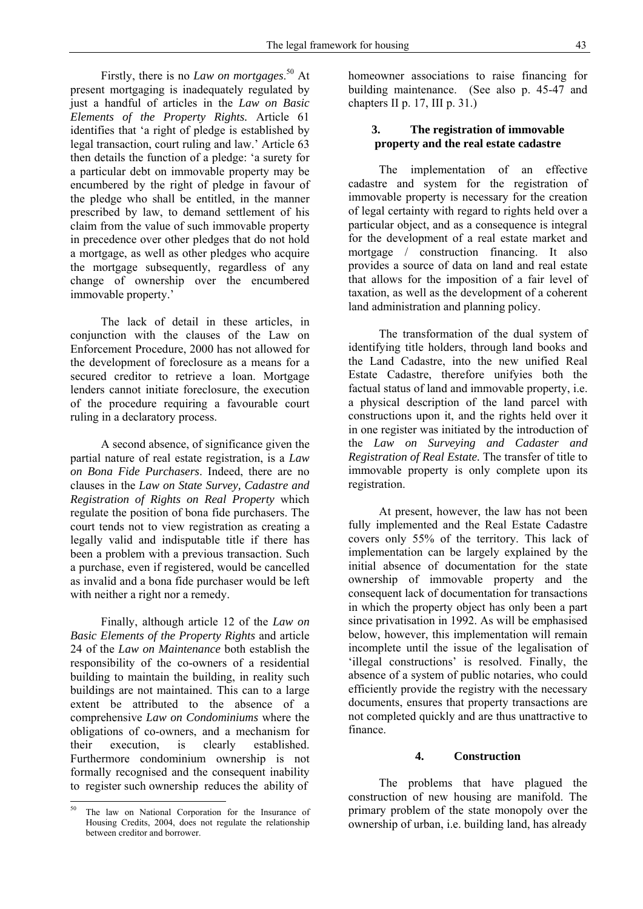Firstly, there is no *Law on mortgages*. 50 At present mortgaging is inadequately regulated by just a handful of articles in the *Law on Basic Elements of the Property Rights.* Article 61 identifies that 'a right of pledge is established by legal transaction, court ruling and law.' Article 63 then details the function of a pledge: 'a surety for a particular debt on immovable property may be encumbered by the right of pledge in favour of the pledge who shall be entitled, in the manner prescribed by law, to demand settlement of his claim from the value of such immovable property in precedence over other pledges that do not hold a mortgage, as well as other pledges who acquire the mortgage subsequently, regardless of any change of ownership over the encumbered immovable property.'

 The lack of detail in these articles, in conjunction with the clauses of the Law on Enforcement Procedure, 2000 has not allowed for the development of foreclosure as a means for a secured creditor to retrieve a loan. Mortgage lenders cannot initiate foreclosure, the execution of the procedure requiring a favourable court ruling in a declaratory process.

 A second absence, of significance given the partial nature of real estate registration, is a *Law on Bona Fide Purchasers*. Indeed, there are no clauses in the *Law on State Survey, Cadastre and Registration of Rights on Real Property* which regulate the position of bona fide purchasers. The court tends not to view registration as creating a legally valid and indisputable title if there has been a problem with a previous transaction. Such a purchase, even if registered, would be cancelled as invalid and a bona fide purchaser would be left with neither a right nor a remedy.

 Finally, although article 12 of the *Law on Basic Elements of the Property Rights* and article 24 of the *Law on Maintenance* both establish the responsibility of the co-owners of a residential building to maintain the building, in reality such buildings are not maintained. This can to a large extent be attributed to the absence of a comprehensive *Law on Condominiums* where the obligations of co-owners, and a mechanism for their execution, is clearly established. Furthermore condominium ownership is not formally recognised and the consequent inability to register such ownership reduces the ability of

<u>.</u>

homeowner associations to raise financing for building maintenance. (See also p. 45-47 and chapters II p. 17, III p. 31.)

# **3. The registration of immovable property and the real estate cadastre**

 The implementation of an effective cadastre and system for the registration of immovable property is necessary for the creation of legal certainty with regard to rights held over a particular object, and as a consequence is integral for the development of a real estate market and mortgage / construction financing. It also provides a source of data on land and real estate that allows for the imposition of a fair level of taxation, as well as the development of a coherent land administration and planning policy.

 The transformation of the dual system of identifying title holders, through land books and the Land Cadastre, into the new unified Real Estate Cadastre, therefore unifyies both the factual status of land and immovable property, i.e. a physical description of the land parcel with constructions upon it, and the rights held over it in one register was initiated by the introduction of the *Law on Surveying and Cadaster and Registration of Real Estate.* The transfer of title to immovable property is only complete upon its registration.

 At present, however, the law has not been fully implemented and the Real Estate Cadastre covers only 55% of the territory. This lack of implementation can be largely explained by the initial absence of documentation for the state ownership of immovable property and the consequent lack of documentation for transactions in which the property object has only been a part since privatisation in 1992. As will be emphasised below, however, this implementation will remain incomplete until the issue of the legalisation of 'illegal constructions' is resolved. Finally, the absence of a system of public notaries, who could efficiently provide the registry with the necessary documents, ensures that property transactions are not completed quickly and are thus unattractive to finance.

## **4. Construction**

 The problems that have plagued the construction of new housing are manifold. The primary problem of the state monopoly over the ownership of urban, i.e. building land, has already

The law on National Corporation for the Insurance of Housing Credits, 2004, does not regulate the relationship between creditor and borrower.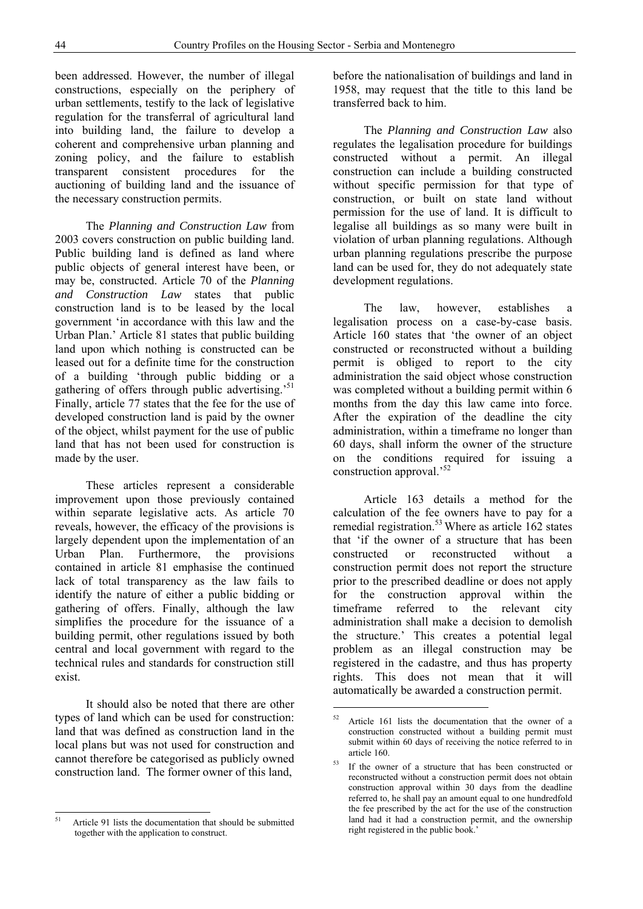been addressed. However, the number of illegal constructions, especially on the periphery of urban settlements, testify to the lack of legislative regulation for the transferral of agricultural land into building land, the failure to develop a coherent and comprehensive urban planning and zoning policy, and the failure to establish transparent consistent procedures for the auctioning of building land and the issuance of the necessary construction permits.

 The *Planning and Construction Law* from 2003 covers construction on public building land. Public building land is defined as land where public objects of general interest have been, or may be, constructed. Article 70 of the *Planning and Construction Law* states that public construction land is to be leased by the local government 'in accordance with this law and the Urban Plan.' Article 81 states that public building land upon which nothing is constructed can be leased out for a definite time for the construction of a building 'through public bidding or a gathering of offers through public advertising.<sup>51</sup> Finally, article 77 states that the fee for the use of developed construction land is paid by the owner of the object, whilst payment for the use of public land that has not been used for construction is made by the user.

 These articles represent a considerable improvement upon those previously contained within separate legislative acts. As article 70 reveals, however, the efficacy of the provisions is largely dependent upon the implementation of an Urban Plan. Furthermore, the provisions contained in article 81 emphasise the continued lack of total transparency as the law fails to identify the nature of either a public bidding or gathering of offers. Finally, although the law simplifies the procedure for the issuance of a building permit, other regulations issued by both central and local government with regard to the technical rules and standards for construction still exist.

 It should also be noted that there are other types of land which can be used for construction: land that was defined as construction land in the local plans but was not used for construction and cannot therefore be categorised as publicly owned construction land. The former owner of this land,

before the nationalisation of buildings and land in 1958, may request that the title to this land be transferred back to him.

 The *Planning and Construction Law* also regulates the legalisation procedure for buildings constructed without a permit. An illegal construction can include a building constructed without specific permission for that type of construction, or built on state land without permission for the use of land. It is difficult to legalise all buildings as so many were built in violation of urban planning regulations. Although urban planning regulations prescribe the purpose land can be used for, they do not adequately state development regulations.

 The law, however, establishes a legalisation process on a case-by-case basis. Article 160 states that 'the owner of an object constructed or reconstructed without a building permit is obliged to report to the city administration the said object whose construction was completed without a building permit within 6 months from the day this law came into force. After the expiration of the deadline the city administration, within a timeframe no longer than 60 days, shall inform the owner of the structure on the conditions required for issuing a construction approval.<sup>52</sup>

 Article 163 details a method for the calculation of the fee owners have to pay for a remedial registration.<sup>53</sup> Where as article  $162$  states that 'if the owner of a structure that has been constructed or reconstructed without a construction permit does not report the structure prior to the prescribed deadline or does not apply for the construction approval within the timeframe referred to the relevant city administration shall make a decision to demolish the structure.' This creates a potential legal problem as an illegal construction may be registered in the cadastre, and thus has property rights. This does not mean that it will automatically be awarded a construction permit.

-

<sup>51</sup> Article 91 lists the documentation that should be submitted together with the application to construct.

Article 161 lists the documentation that the owner of a construction constructed without a building permit must submit within 60 days of receiving the notice referred to in article 160.

<sup>&</sup>lt;sup>53</sup> If the owner of a structure that has been constructed or reconstructed without a construction permit does not obtain construction approval within 30 days from the deadline referred to, he shall pay an amount equal to one hundredfold the fee prescribed by the act for the use of the construction land had it had a construction permit, and the ownership right registered in the public book.'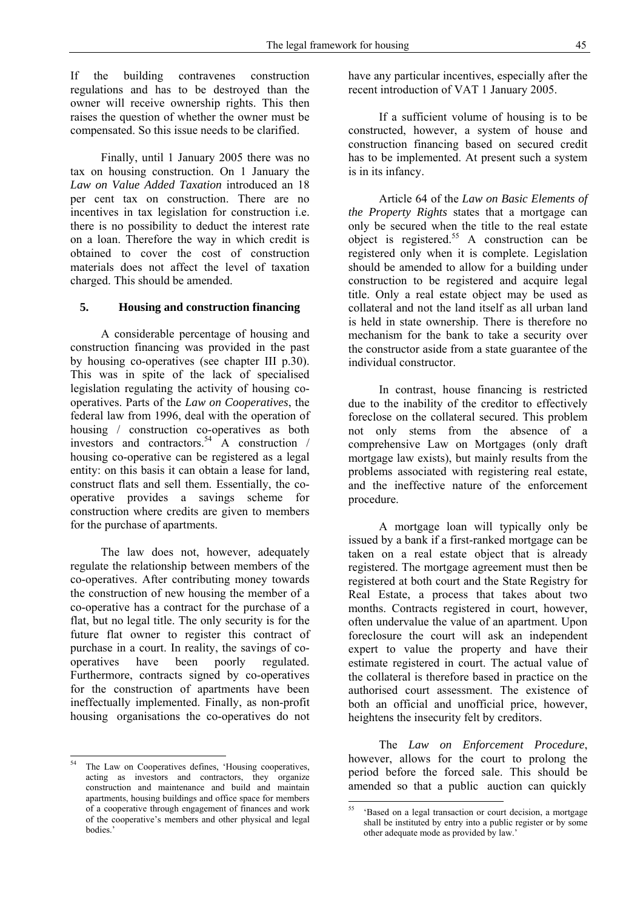If the building contravenes construction regulations and has to be destroyed than the owner will receive ownership rights. This then raises the question of whether the owner must be compensated. So this issue needs to be clarified.

 Finally, until 1 January 2005 there was no tax on housing construction. On 1 January the *Law on Value Added Taxation* introduced an 18 per cent tax on construction. There are no incentives in tax legislation for construction i.e. there is no possibility to deduct the interest rate on a loan. Therefore the way in which credit is obtained to cover the cost of construction materials does not affect the level of taxation charged. This should be amended.

## **5. Housing and construction financing**

 A considerable percentage of housing and construction financing was provided in the past by housing co-operatives (see chapter III p.30). This was in spite of the lack of specialised legislation regulating the activity of housing cooperatives. Parts of the *Law on Cooperatives*, the federal law from 1996, deal with the operation of housing / construction co-operatives as both investors and contractors.<sup>54</sup> A construction / housing co-operative can be registered as a legal entity: on this basis it can obtain a lease for land, construct flats and sell them. Essentially, the cooperative provides a savings scheme for construction where credits are given to members for the purchase of apartments.

 The law does not, however, adequately regulate the relationship between members of the co-operatives. After contributing money towards the construction of new housing the member of a co-operative has a contract for the purchase of a flat, but no legal title. The only security is for the future flat owner to register this contract of purchase in a court. In reality, the savings of cooperatives have been poorly regulated. Furthermore, contracts signed by co-operatives for the construction of apartments have been ineffectually implemented. Finally, as non-profit housing organisations the co-operatives do not

-

have any particular incentives, especially after the recent introduction of VAT 1 January 2005.

 If a sufficient volume of housing is to be constructed, however, a system of house and construction financing based on secured credit has to be implemented. At present such a system is in its infancy.

 Article 64 of the *Law on Basic Elements of the Property Rights* states that a mortgage can only be secured when the title to the real estate object is registered.<sup>55</sup> A construction can be registered only when it is complete. Legislation should be amended to allow for a building under construction to be registered and acquire legal title. Only a real estate object may be used as collateral and not the land itself as all urban land is held in state ownership. There is therefore no mechanism for the bank to take a security over the constructor aside from a state guarantee of the individual constructor.

 In contrast, house financing is restricted due to the inability of the creditor to effectively foreclose on the collateral secured. This problem not only stems from the absence of a comprehensive Law on Mortgages (only draft mortgage law exists), but mainly results from the problems associated with registering real estate, and the ineffective nature of the enforcement procedure.

 A mortgage loan will typically only be issued by a bank if a first-ranked mortgage can be taken on a real estate object that is already registered. The mortgage agreement must then be registered at both court and the State Registry for Real Estate, a process that takes about two months. Contracts registered in court, however, often undervalue the value of an apartment. Upon foreclosure the court will ask an independent expert to value the property and have their estimate registered in court. The actual value of the collateral is therefore based in practice on the authorised court assessment. The existence of both an official and unofficial price, however, heightens the insecurity felt by creditors.

 The *Law on Enforcement Procedure*, however, allows for the court to prolong the period before the forced sale. This should be amended so that a public auction can quickly

The Law on Cooperatives defines, 'Housing cooperatives, acting as investors and contractors, they organize construction and maintenance and build and maintain apartments, housing buildings and office space for members of a cooperative through engagement of finances and work of the cooperative's members and other physical and legal bodies.'

<sup>&</sup>lt;u>.</u> 55 'Based on a legal transaction or court decision, a mortgage shall be instituted by entry into a public register or by some other adequate mode as provided by law.'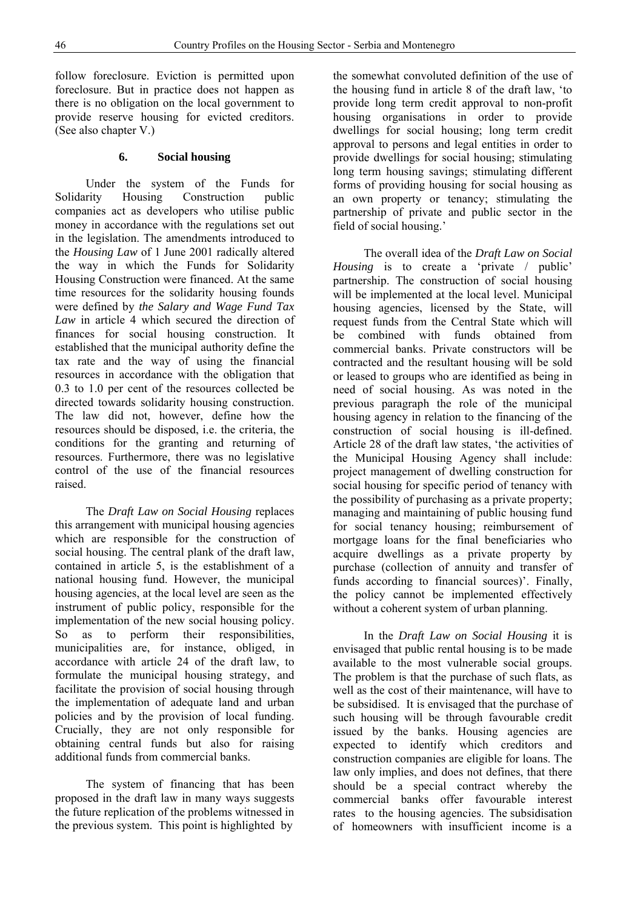follow foreclosure. Eviction is permitted upon foreclosure. But in practice does not happen as there is no obligation on the local government to provide reserve housing for evicted creditors. (See also chapter V.)

#### **6. Social housing**

 Under the system of the Funds for Solidarity Housing Construction public companies act as developers who utilise public money in accordance with the regulations set out in the legislation. The amendments introduced to the *Housing Law* of 1 June 2001 radically altered the way in which the Funds for Solidarity Housing Construction were financed. At the same time resources for the solidarity housing founds were defined by *the Salary and Wage Fund Tax Law* in article 4 which secured the direction of finances for social housing construction. It established that the municipal authority define the tax rate and the way of using the financial resources in accordance with the obligation that 0.3 to 1.0 per cent of the resources collected be directed towards solidarity housing construction. The law did not, however, define how the resources should be disposed, i.e. the criteria, the conditions for the granting and returning of resources. Furthermore, there was no legislative control of the use of the financial resources raised.

 The *Draft Law on Social Housing* replaces this arrangement with municipal housing agencies which are responsible for the construction of social housing. The central plank of the draft law, contained in article 5, is the establishment of a national housing fund. However, the municipal housing agencies, at the local level are seen as the instrument of public policy, responsible for the implementation of the new social housing policy. So as to perform their responsibilities, municipalities are, for instance, obliged, in accordance with article 24 of the draft law, to formulate the municipal housing strategy, and facilitate the provision of social housing through the implementation of adequate land and urban policies and by the provision of local funding. Crucially, they are not only responsible for obtaining central funds but also for raising additional funds from commercial banks.

 The system of financing that has been proposed in the draft law in many ways suggests the future replication of the problems witnessed in the previous system. This point is highlighted by

the somewhat convoluted definition of the use of the housing fund in article 8 of the draft law, 'to provide long term credit approval to non-profit housing organisations in order to provide dwellings for social housing; long term credit approval to persons and legal entities in order to provide dwellings for social housing; stimulating long term housing savings; stimulating different forms of providing housing for social housing as an own property or tenancy; stimulating the partnership of private and public sector in the field of social housing.'

 The overall idea of the *Draft Law on Social Housing* is to create a 'private / public' partnership. The construction of social housing will be implemented at the local level. Municipal housing agencies, licensed by the State, will request funds from the Central State which will be combined with funds obtained from commercial banks. Private constructors will be contracted and the resultant housing will be sold or leased to groups who are identified as being in need of social housing. As was noted in the previous paragraph the role of the municipal housing agency in relation to the financing of the construction of social housing is ill-defined. Article 28 of the draft law states, 'the activities of the Municipal Housing Agency shall include: project management of dwelling construction for social housing for specific period of tenancy with the possibility of purchasing as a private property; managing and maintaining of public housing fund for social tenancy housing; reimbursement of mortgage loans for the final beneficiaries who acquire dwellings as a private property by purchase (collection of annuity and transfer of funds according to financial sources)'. Finally, the policy cannot be implemented effectively without a coherent system of urban planning.

 In the *Draft Law on Social Housing* it is envisaged that public rental housing is to be made available to the most vulnerable social groups. The problem is that the purchase of such flats, as well as the cost of their maintenance, will have to be subsidised. It is envisaged that the purchase of such housing will be through favourable credit issued by the banks. Housing agencies are expected to identify which creditors and construction companies are eligible for loans. The law only implies, and does not defines, that there should be a special contract whereby the commercial banks offer favourable interest rates to the housing agencies. The subsidisation of homeowners with insufficient income is a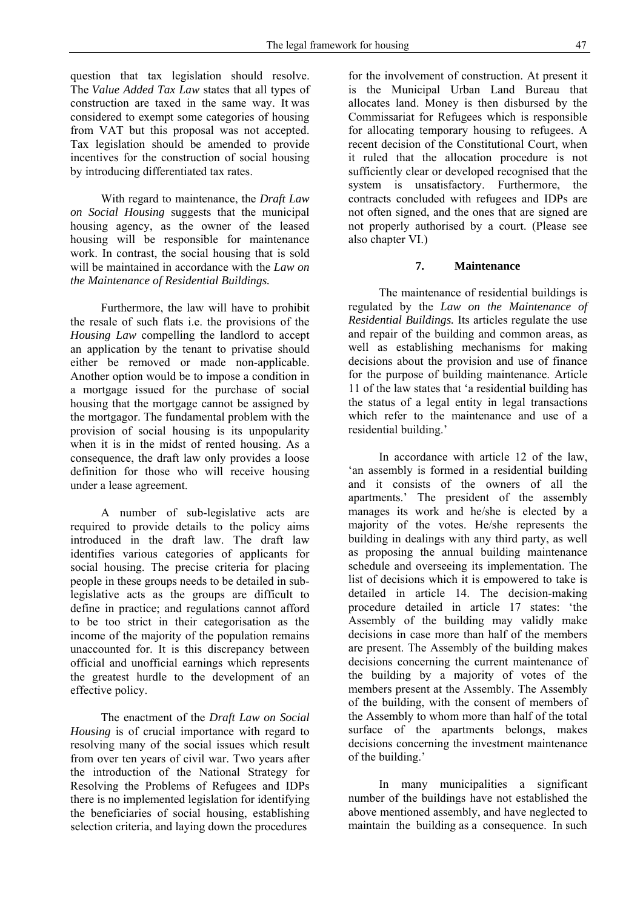question that tax legislation should resolve. The *Value Added Tax Law* states that all types of construction are taxed in the same way. It was considered to exempt some categories of housing from VAT but this proposal was not accepted. Tax legislation should be amended to provide incentives for the construction of social housing by introducing differentiated tax rates.

 With regard to maintenance, the *Draft Law on Social Housing* suggests that the municipal housing agency, as the owner of the leased housing will be responsible for maintenance work. In contrast, the social housing that is sold will be maintained in accordance with the *Law on the Maintenance of Residential Buildings.* 

 Furthermore, the law will have to prohibit the resale of such flats i.e. the provisions of the *Housing Law* compelling the landlord to accept an application by the tenant to privatise should either be removed or made non-applicable. Another option would be to impose a condition in a mortgage issued for the purchase of social housing that the mortgage cannot be assigned by the mortgagor. The fundamental problem with the provision of social housing is its unpopularity when it is in the midst of rented housing. As a consequence, the draft law only provides a loose definition for those who will receive housing under a lease agreement.

 A number of sub-legislative acts are required to provide details to the policy aims introduced in the draft law. The draft law identifies various categories of applicants for social housing. The precise criteria for placing people in these groups needs to be detailed in sublegislative acts as the groups are difficult to define in practice; and regulations cannot afford to be too strict in their categorisation as the income of the majority of the population remains unaccounted for. It is this discrepancy between official and unofficial earnings which represents the greatest hurdle to the development of an effective policy.

 The enactment of the *Draft Law on Social Housing* is of crucial importance with regard to resolving many of the social issues which result from over ten years of civil war. Two years after the introduction of the National Strategy for Resolving the Problems of Refugees and IDPs there is no implemented legislation for identifying the beneficiaries of social housing, establishing selection criteria, and laying down the procedures

for the involvement of construction. At present it is the Municipal Urban Land Bureau that allocates land. Money is then disbursed by the Commissariat for Refugees which is responsible for allocating temporary housing to refugees. A recent decision of the Constitutional Court, when it ruled that the allocation procedure is not sufficiently clear or developed recognised that the system is unsatisfactory. Furthermore, the contracts concluded with refugees and IDPs are not often signed, and the ones that are signed are not properly authorised by a court. (Please see also chapter VI.)

## **7. Maintenance**

 The maintenance of residential buildings is regulated by the *Law on the Maintenance of Residential Buildings.* Its articles regulate the use and repair of the building and common areas, as well as establishing mechanisms for making decisions about the provision and use of finance for the purpose of building maintenance. Article 11 of the law states that 'a residential building has the status of a legal entity in legal transactions which refer to the maintenance and use of a residential building.'

 In accordance with article 12 of the law, 'an assembly is formed in a residential building and it consists of the owners of all the apartments.' The president of the assembly manages its work and he/she is elected by a majority of the votes. He/she represents the building in dealings with any third party, as well as proposing the annual building maintenance schedule and overseeing its implementation. The list of decisions which it is empowered to take is detailed in article 14. The decision-making procedure detailed in article 17 states: 'the Assembly of the building may validly make decisions in case more than half of the members are present. The Assembly of the building makes decisions concerning the current maintenance of the building by a majority of votes of the members present at the Assembly. The Assembly of the building, with the consent of members of the Assembly to whom more than half of the total surface of the apartments belongs, makes decisions concerning the investment maintenance of the building.'

 In many municipalities a significant number of the buildings have not established the above mentioned assembly, and have neglected to maintain the building as a consequence. In such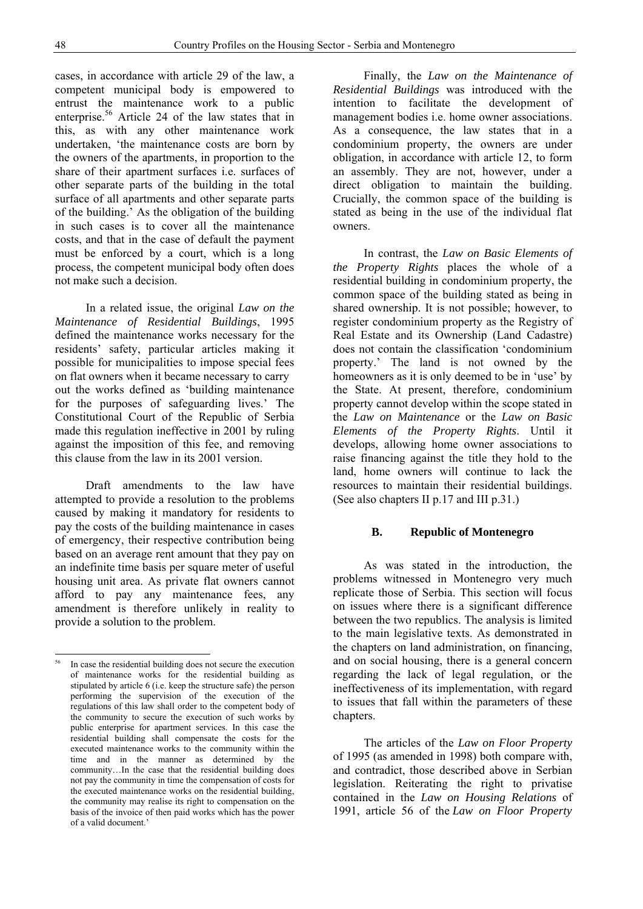$\overline{a}$ 

cases, in accordance with article 29 of the law, a competent municipal body is empowered to entrust the maintenance work to a public enterprise.<sup>56</sup> Article 24 of the law states that in this, as with any other maintenance work undertaken, 'the maintenance costs are born by the owners of the apartments, in proportion to the share of their apartment surfaces i.e. surfaces of other separate parts of the building in the total surface of all apartments and other separate parts of the building.' As the obligation of the building in such cases is to cover all the maintenance costs, and that in the case of default the payment must be enforced by a court, which is a long process, the competent municipal body often does not make such a decision.

 In a related issue, the original *Law on the Maintenance of Residential Buildings*, 1995 defined the maintenance works necessary for the residents' safety, particular articles making it possible for municipalities to impose special fees on flat owners when it became necessary to carry out the works defined as 'building maintenance for the purposes of safeguarding lives.' The Constitutional Court of the Republic of Serbia made this regulation ineffective in 2001 by ruling against the imposition of this fee, and removing this clause from the law in its 2001 version.

 Draft amendments to the law have attempted to provide a resolution to the problems caused by making it mandatory for residents to pay the costs of the building maintenance in cases of emergency, their respective contribution being based on an average rent amount that they pay on an indefinite time basis per square meter of useful housing unit area. As private flat owners cannot afford to pay any maintenance fees, any amendment is therefore unlikely in reality to provide a solution to the problem.

 Finally, the *Law on the Maintenance of Residential Buildings* was introduced with the intention to facilitate the development of management bodies i.e. home owner associations. As a consequence, the law states that in a condominium property, the owners are under obligation, in accordance with article 12, to form an assembly. They are not, however, under a direct obligation to maintain the building. Crucially, the common space of the building is stated as being in the use of the individual flat owners.

 In contrast, the *Law on Basic Elements of the Property Rights* places the whole of a residential building in condominium property, the common space of the building stated as being in shared ownership. It is not possible; however, to register condominium property as the Registry of Real Estate and its Ownership (Land Cadastre) does not contain the classification 'condominium property.' The land is not owned by the homeowners as it is only deemed to be in 'use' by the State. At present, therefore, condominium property cannot develop within the scope stated in the *Law on Maintenance* or the *Law on Basic Elements of the Property Rights*. Until it develops, allowing home owner associations to raise financing against the title they hold to the land, home owners will continue to lack the resources to maintain their residential buildings. (See also chapters II p.17 and III p.31.)

#### **B. Republic of Montenegro**

 As was stated in the introduction, the problems witnessed in Montenegro very much replicate those of Serbia. This section will focus on issues where there is a significant difference between the two republics. The analysis is limited to the main legislative texts. As demonstrated in the chapters on land administration, on financing, and on social housing, there is a general concern regarding the lack of legal regulation, or the ineffectiveness of its implementation, with regard to issues that fall within the parameters of these chapters.

 The articles of the *Law on Floor Property* of 1995 (as amended in 1998) both compare with, and contradict, those described above in Serbian legislation. Reiterating the right to privatise contained in the *Law on Housing Relations* of 1991, article 56 of the *Law on Floor Property*

<sup>&</sup>lt;sup>56</sup> In case the residential building does not secure the execution of maintenance works for the residential building as stipulated by article 6 (i.e. keep the structure safe) the person performing the supervision of the execution of the regulations of this law shall order to the competent body of the community to secure the execution of such works by public enterprise for apartment services. In this case the residential building shall compensate the costs for the executed maintenance works to the community within the time and in the manner as determined by the community…In the case that the residential building does not pay the community in time the compensation of costs for the executed maintenance works on the residential building, the community may realise its right to compensation on the basis of the invoice of then paid works which has the power of a valid document.'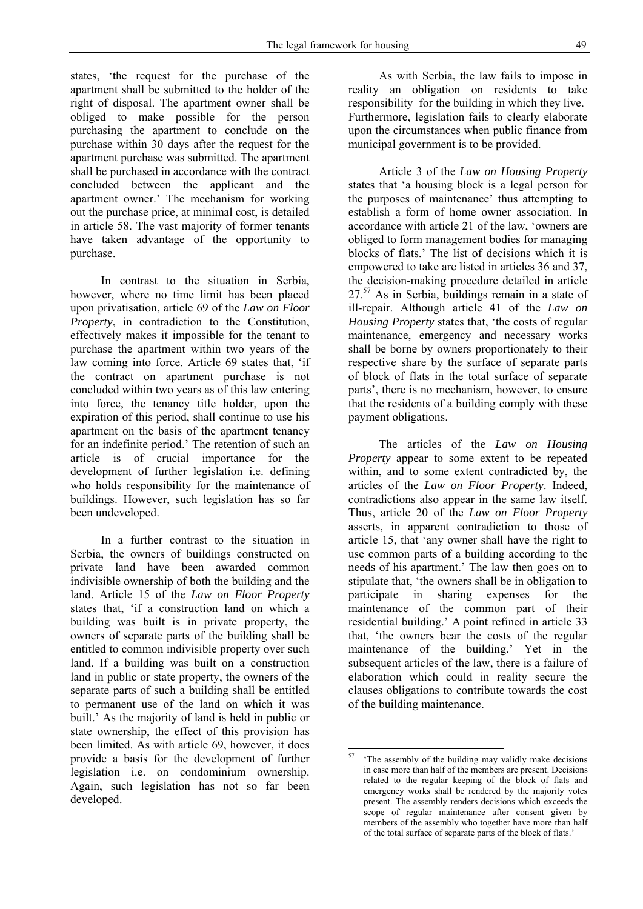states, 'the request for the purchase of the apartment shall be submitted to the holder of the right of disposal. The apartment owner shall be obliged to make possible for the person purchasing the apartment to conclude on the purchase within 30 days after the request for the apartment purchase was submitted. The apartment shall be purchased in accordance with the contract concluded between the applicant and the apartment owner.' The mechanism for working out the purchase price, at minimal cost, is detailed in article 58. The vast majority of former tenants have taken advantage of the opportunity to purchase.

 In contrast to the situation in Serbia, however, where no time limit has been placed upon privatisation, article 69 of the *Law on Floor Property*, in contradiction to the Constitution, effectively makes it impossible for the tenant to purchase the apartment within two years of the law coming into force. Article 69 states that, 'if the contract on apartment purchase is not concluded within two years as of this law entering into force, the tenancy title holder, upon the expiration of this period, shall continue to use his apartment on the basis of the apartment tenancy for an indefinite period.' The retention of such an article is of crucial importance for the development of further legislation i.e. defining who holds responsibility for the maintenance of buildings. However, such legislation has so far been undeveloped.

 In a further contrast to the situation in Serbia, the owners of buildings constructed on private land have been awarded common indivisible ownership of both the building and the land. Article 15 of the *Law on Floor Property*  states that, 'if a construction land on which a building was built is in private property, the owners of separate parts of the building shall be entitled to common indivisible property over such land. If a building was built on a construction land in public or state property, the owners of the separate parts of such a building shall be entitled to permanent use of the land on which it was built.' As the majority of land is held in public or state ownership, the effect of this provision has been limited. As with article 69, however, it does provide a basis for the development of further legislation i.e. on condominium ownership. Again, such legislation has not so far been developed.

 As with Serbia, the law fails to impose in reality an obligation on residents to take responsibility for the building in which they live. Furthermore, legislation fails to clearly elaborate upon the circumstances when public finance from municipal government is to be provided.

 Article 3 of the *Law on Housing Property* states that 'a housing block is a legal person for the purposes of maintenance' thus attempting to establish a form of home owner association. In accordance with article 21 of the law, 'owners are obliged to form management bodies for managing blocks of flats.' The list of decisions which it is empowered to take are listed in articles 36 and 37, the decision-making procedure detailed in article  $27<sup>57</sup>$  As in Serbia, buildings remain in a state of ill-repair. Although article 41 of the *Law on Housing Property* states that, 'the costs of regular maintenance, emergency and necessary works shall be borne by owners proportionately to their respective share by the surface of separate parts of block of flats in the total surface of separate parts', there is no mechanism, however, to ensure that the residents of a building comply with these payment obligations.

 The articles of the *Law on Housing Property* appear to some extent to be repeated within, and to some extent contradicted by, the articles of the *Law on Floor Property*. Indeed, contradictions also appear in the same law itself. Thus, article 20 of the *Law on Floor Property* asserts, in apparent contradiction to those of article 15, that 'any owner shall have the right to use common parts of a building according to the needs of his apartment.' The law then goes on to stipulate that, 'the owners shall be in obligation to participate in sharing expenses for the maintenance of the common part of their residential building.' A point refined in article 33 that, 'the owners bear the costs of the regular maintenance of the building.' Yet in the subsequent articles of the law, there is a failure of elaboration which could in reality secure the clauses obligations to contribute towards the cost of the building maintenance.

<sup>57</sup> The assembly of the building may validly make decisions in case more than half of the members are present. Decisions related to the regular keeping of the block of flats and emergency works shall be rendered by the majority votes present. The assembly renders decisions which exceeds the scope of regular maintenance after consent given by members of the assembly who together have more than half of the total surface of separate parts of the block of flats.'